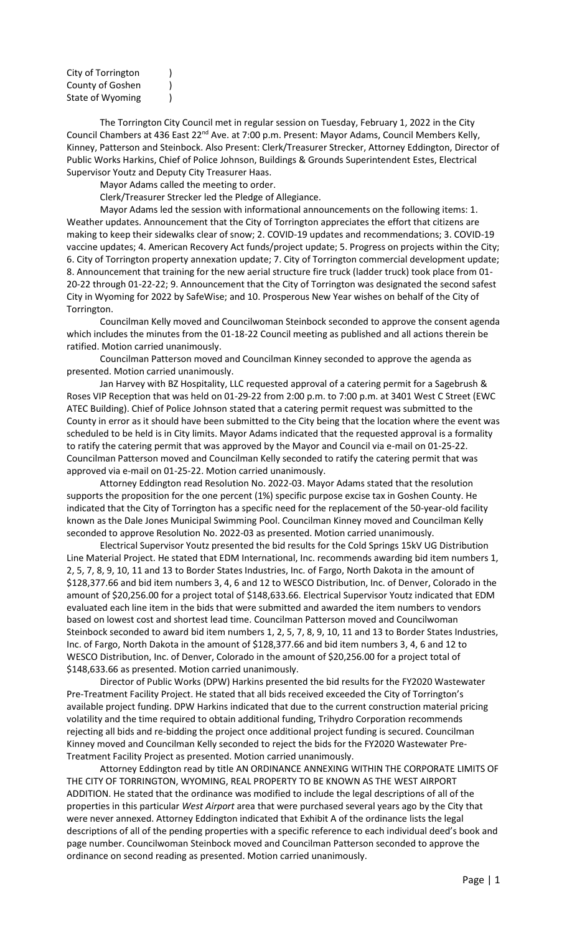| City of Torrington                   |  |
|--------------------------------------|--|
| County of Goshen<br>State of Wyoming |  |
|                                      |  |

The Torrington City Council met in regular session on Tuesday, February 1, 2022 in the City Council Chambers at 436 East 22<sup>nd</sup> Ave. at 7:00 p.m. Present: Mayor Adams, Council Members Kelly, Kinney, Patterson and Steinbock. Also Present: Clerk/Treasurer Strecker, Attorney Eddington, Director of Public Works Harkins, Chief of Police Johnson, Buildings & Grounds Superintendent Estes, Electrical Supervisor Youtz and Deputy City Treasurer Haas.

Mayor Adams called the meeting to order.

Clerk/Treasurer Strecker led the Pledge of Allegiance.

Mayor Adams led the session with informational announcements on the following items: 1. Weather updates. Announcement that the City of Torrington appreciates the effort that citizens are making to keep their sidewalks clear of snow; 2. COVID-19 updates and recommendations; 3. COVID-19 vaccine updates; 4. American Recovery Act funds/project update; 5. Progress on projects within the City; 6. City of Torrington property annexation update; 7. City of Torrington commercial development update; 8. Announcement that training for the new aerial structure fire truck (ladder truck) took place from 01- 20-22 through 01-22-22; 9. Announcement that the City of Torrington was designated the second safest City in Wyoming for 2022 by SafeWise; and 10. Prosperous New Year wishes on behalf of the City of Torrington.

Councilman Kelly moved and Councilwoman Steinbock seconded to approve the consent agenda which includes the minutes from the 01-18-22 Council meeting as published and all actions therein be ratified. Motion carried unanimously.

Councilman Patterson moved and Councilman Kinney seconded to approve the agenda as presented. Motion carried unanimously.

Jan Harvey with BZ Hospitality, LLC requested approval of a catering permit for a Sagebrush & Roses VIP Reception that was held on 01-29-22 from 2:00 p.m. to 7:00 p.m. at 3401 West C Street (EWC ATEC Building). Chief of Police Johnson stated that a catering permit request was submitted to the County in error as it should have been submitted to the City being that the location where the event was scheduled to be held is in City limits. Mayor Adams indicated that the requested approval is a formality to ratify the catering permit that was approved by the Mayor and Council via e-mail on 01-25-22. Councilman Patterson moved and Councilman Kelly seconded to ratify the catering permit that was approved via e-mail on 01-25-22. Motion carried unanimously.

Attorney Eddington read Resolution No. 2022-03. Mayor Adams stated that the resolution supports the proposition for the one percent (1%) specific purpose excise tax in Goshen County. He indicated that the City of Torrington has a specific need for the replacement of the 50-year-old facility known as the Dale Jones Municipal Swimming Pool. Councilman Kinney moved and Councilman Kelly seconded to approve Resolution No. 2022-03 as presented. Motion carried unanimously.

Electrical Supervisor Youtz presented the bid results for the Cold Springs 15kV UG Distribution Line Material Project. He stated that EDM International, Inc. recommends awarding bid item numbers 1, 2, 5, 7, 8, 9, 10, 11 and 13 to Border States Industries, Inc. of Fargo, North Dakota in the amount of \$128,377.66 and bid item numbers 3, 4, 6 and 12 to WESCO Distribution, Inc. of Denver, Colorado in the amount of \$20,256.00 for a project total of \$148,633.66. Electrical Supervisor Youtz indicated that EDM evaluated each line item in the bids that were submitted and awarded the item numbers to vendors based on lowest cost and shortest lead time. Councilman Patterson moved and Councilwoman Steinbock seconded to award bid item numbers 1, 2, 5, 7, 8, 9, 10, 11 and 13 to Border States Industries, Inc. of Fargo, North Dakota in the amount of \$128,377.66 and bid item numbers 3, 4, 6 and 12 to WESCO Distribution, Inc. of Denver, Colorado in the amount of \$20,256.00 for a project total of \$148,633.66 as presented. Motion carried unanimously.

Director of Public Works (DPW) Harkins presented the bid results for the FY2020 Wastewater Pre-Treatment Facility Project. He stated that all bids received exceeded the City of Torrington's available project funding. DPW Harkins indicated that due to the current construction material pricing volatility and the time required to obtain additional funding, Trihydro Corporation recommends rejecting all bids and re-bidding the project once additional project funding is secured. Councilman Kinney moved and Councilman Kelly seconded to reject the bids for the FY2020 Wastewater Pre-Treatment Facility Project as presented. Motion carried unanimously.

Attorney Eddington read by title AN ORDINANCE ANNEXING WITHIN THE CORPORATE LIMITS OF THE CITY OF TORRINGTON, WYOMING, REAL PROPERTY TO BE KNOWN AS THE WEST AIRPORT ADDITION. He stated that the ordinance was modified to include the legal descriptions of all of the properties in this particular *West Airport* area that were purchased several years ago by the City that were never annexed. Attorney Eddington indicated that Exhibit A of the ordinance lists the legal descriptions of all of the pending properties with a specific reference to each individual deed's book and page number. Councilwoman Steinbock moved and Councilman Patterson seconded to approve the ordinance on second reading as presented. Motion carried unanimously.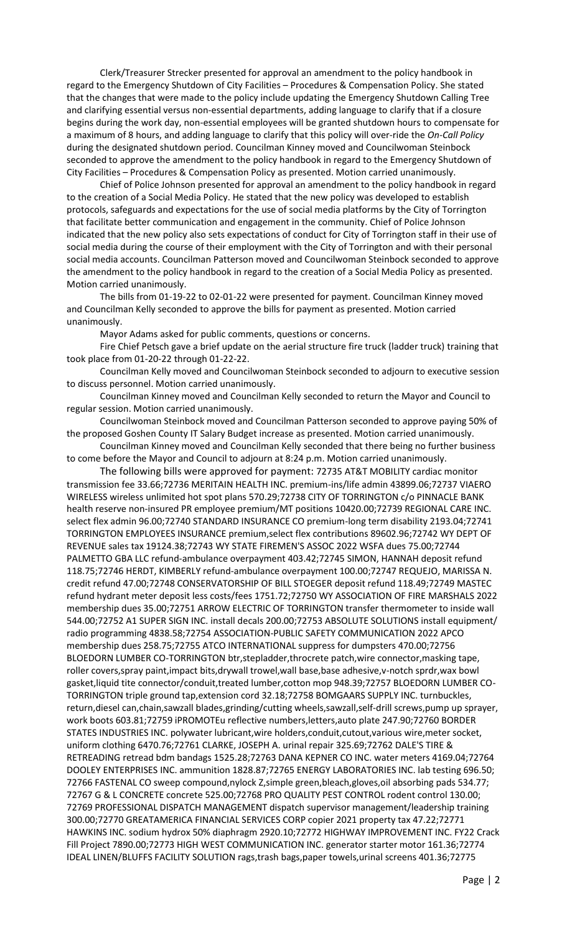Clerk/Treasurer Strecker presented for approval an amendment to the policy handbook in regard to the Emergency Shutdown of City Facilities – Procedures & Compensation Policy. She stated that the changes that were made to the policy include updating the Emergency Shutdown Calling Tree and clarifying essential versus non-essential departments, adding language to clarify that if a closure begins during the work day, non-essential employees will be granted shutdown hours to compensate for a maximum of 8 hours, and adding language to clarify that this policy will over-ride the *On-Call Policy* during the designated shutdown period. Councilman Kinney moved and Councilwoman Steinbock seconded to approve the amendment to the policy handbook in regard to the Emergency Shutdown of City Facilities – Procedures & Compensation Policy as presented. Motion carried unanimously.

Chief of Police Johnson presented for approval an amendment to the policy handbook in regard to the creation of a Social Media Policy. He stated that the new policy was developed to establish protocols, safeguards and expectations for the use of social media platforms by the City of Torrington that facilitate better communication and engagement in the community. Chief of Police Johnson indicated that the new policy also sets expectations of conduct for City of Torrington staff in their use of social media during the course of their employment with the City of Torrington and with their personal social media accounts. Councilman Patterson moved and Councilwoman Steinbock seconded to approve the amendment to the policy handbook in regard to the creation of a Social Media Policy as presented. Motion carried unanimously.

The bills from 01-19-22 to 02-01-22 were presented for payment. Councilman Kinney moved and Councilman Kelly seconded to approve the bills for payment as presented. Motion carried unanimously.

Mayor Adams asked for public comments, questions or concerns.

Fire Chief Petsch gave a brief update on the aerial structure fire truck (ladder truck) training that took place from 01-20-22 through 01-22-22.

Councilman Kelly moved and Councilwoman Steinbock seconded to adjourn to executive session to discuss personnel. Motion carried unanimously.

Councilman Kinney moved and Councilman Kelly seconded to return the Mayor and Council to regular session. Motion carried unanimously.

Councilwoman Steinbock moved and Councilman Patterson seconded to approve paying 50% of the proposed Goshen County IT Salary Budget increase as presented. Motion carried unanimously.

Councilman Kinney moved and Councilman Kelly seconded that there being no further business to come before the Mayor and Council to adjourn at 8:24 p.m. Motion carried unanimously.

The following bills were approved for payment: 72735 AT&T MOBILITY cardiac monitor transmission fee 33.66;72736 MERITAIN HEALTH INC. premium-ins/life admin 43899.06;72737 VIAERO WIRELESS wireless unlimited hot spot plans 570.29;72738 CITY OF TORRINGTON c/o PINNACLE BANK health reserve non-insured PR employee premium/MT positions 10420.00;72739 REGIONAL CARE INC. select flex admin 96.00;72740 STANDARD INSURANCE CO premium-long term disability 2193.04;72741 TORRINGTON EMPLOYEES INSURANCE premium,select flex contributions 89602.96;72742 WY DEPT OF REVENUE sales tax 19124.38;72743 WY STATE FIREMEN'S ASSOC 2022 WSFA dues 75.00;72744 PALMETTO GBA LLC refund-ambulance overpayment 403.42;72745 SIMON, HANNAH deposit refund 118.75;72746 HERDT, KIMBERLY refund-ambulance overpayment 100.00;72747 REQUEJO, MARISSA N. credit refund 47.00;72748 CONSERVATORSHIP OF BILL STOEGER deposit refund 118.49;72749 MASTEC refund hydrant meter deposit less costs/fees 1751.72;72750 WY ASSOCIATION OF FIRE MARSHALS 2022 membership dues 35.00;72751 ARROW ELECTRIC OF TORRINGTON transfer thermometer to inside wall 544.00;72752 A1 SUPER SIGN INC. install decals 200.00;72753 ABSOLUTE SOLUTIONS install equipment/ radio programming 4838.58;72754 ASSOCIATION-PUBLIC SAFETY COMMUNICATION 2022 APCO membership dues 258.75;72755 ATCO INTERNATIONAL suppress for dumpsters 470.00;72756 BLOEDORN LUMBER CO-TORRINGTON btr,stepladder,throcrete patch,wire connector,masking tape, roller covers,spray paint,impact bits,drywall trowel,wall base,base adhesive,v-notch sprdr,wax bowl gasket,liquid tite connector/conduit,treated lumber,cotton mop 948.39;72757 BLOEDORN LUMBER CO-TORRINGTON triple ground tap,extension cord 32.18;72758 BOMGAARS SUPPLY INC. turnbuckles, return,diesel can,chain,sawzall blades,grinding/cutting wheels,sawzall,self-drill screws,pump up sprayer, work boots 603.81;72759 iPROMOTEu reflective numbers,letters,auto plate 247.90;72760 BORDER STATES INDUSTRIES INC. polywater lubricant,wire holders,conduit,cutout,various wire,meter socket, uniform clothing 6470.76;72761 CLARKE, JOSEPH A. urinal repair 325.69;72762 DALE'S TIRE & RETREADING retread bdm bandags 1525.28;72763 DANA KEPNER CO INC. water meters 4169.04;72764 DOOLEY ENTERPRISES INC. ammunition 1828.87;72765 ENERGY LABORATORIES INC. lab testing 696.50; 72766 FASTENAL CO sweep compound,nylock Z,simple green,bleach,gloves,oil absorbing pads 534.77; 72767 G & L CONCRETE concrete 525.00;72768 PRO QUALITY PEST CONTROL rodent control 130.00; 72769 PROFESSIONAL DISPATCH MANAGEMENT dispatch supervisor management/leadership training 300.00;72770 GREATAMERICA FINANCIAL SERVICES CORP copier 2021 property tax 47.22;72771 HAWKINS INC. sodium hydrox 50% diaphragm 2920.10;72772 HIGHWAY IMPROVEMENT INC. FY22 Crack Fill Project 7890.00;72773 HIGH WEST COMMUNICATION INC. generator starter motor 161.36;72774 IDEAL LINEN/BLUFFS FACILITY SOLUTION rags,trash bags,paper towels,urinal screens 401.36;72775